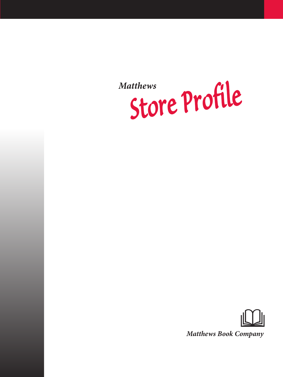*Store Profile Matthews*



*Matthews Book Company*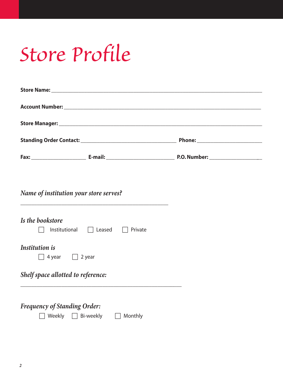# *Store Profile*

| Name of institution your store serves?                                                                                                                      |  |
|-------------------------------------------------------------------------------------------------------------------------------------------------------------|--|
| Is the bookstore<br>Institutional $\Box$ Leased $\Box$<br>Private                                                                                           |  |
| <b>Institution</b> is<br>$\Box$ 4 year $\Box$ 2 year                                                                                                        |  |
| Shelf space allotted to reference:<br><u> 1989 - Johann Barn, amerikan bernama di sebagai bernama di sebagai bernama di sebagai bernama di sebagai bern</u> |  |
| <b>Frequency of Standing Order:</b><br>Weekly $\Box$ Bi-weekly<br>Monthly                                                                                   |  |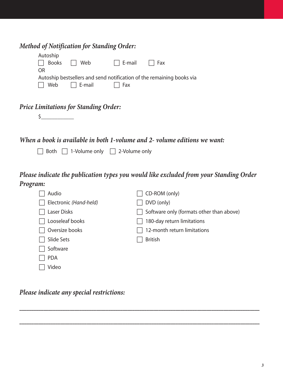| <b>Method of Notification for Standing Order:</b> |  |  |  |  |
|---------------------------------------------------|--|--|--|--|
|                                                   |  |  |  |  |

| Autoship |                         |                                     |                                                                       |
|----------|-------------------------|-------------------------------------|-----------------------------------------------------------------------|
|          | $\Box$ Books $\Box$ Web |                                     | $\Box$ E-mail $\Box$ Fax                                              |
| OR.      |                         |                                     |                                                                       |
|          |                         |                                     | Autoship bestsellers and send notification of the remaining books via |
|          |                         | $\Box$ Web $\Box$ E-mail $\Box$ Fax |                                                                       |
|          |                         |                                     |                                                                       |

## *Price Limitations for Standing Order:*

*When a book is available in both 1-volume and 2- volume editions we want:*

 $\Box$  Both  $\Box$  1-Volume only  $\Box$  2-Volume only

*Please indicate the publication types you would like excluded from your Standing Order Program:*

| Audio                  | CD-ROM (only)                            |
|------------------------|------------------------------------------|
| Electronic (Hand-held) | DVD (only)                               |
| Laser Disks            | Software only (formats other than above) |
| Looseleaf books        | 180-day return limitations               |
| Oversize books         | 12-month return limitations              |
| Slide Sets             | <b>British</b>                           |
| Software               |                                          |
| <b>PDA</b>             |                                          |
| Video                  |                                          |

*Please indicate any special restrictions:*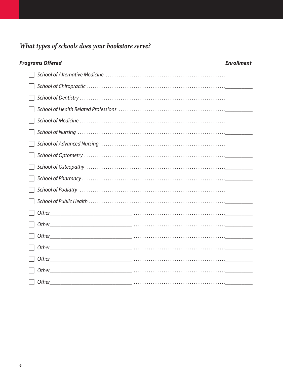## What types of schools does your bookstore serve?

| <b>Programs Offered</b>                      |                                                                                                                     | <b>Enrollment</b> |
|----------------------------------------------|---------------------------------------------------------------------------------------------------------------------|-------------------|
|                                              |                                                                                                                     |                   |
|                                              |                                                                                                                     |                   |
|                                              |                                                                                                                     |                   |
|                                              |                                                                                                                     |                   |
|                                              |                                                                                                                     |                   |
|                                              |                                                                                                                     |                   |
|                                              |                                                                                                                     |                   |
|                                              |                                                                                                                     |                   |
|                                              |                                                                                                                     |                   |
|                                              |                                                                                                                     |                   |
| School of Podiatry ………………………………………………………………… |                                                                                                                     |                   |
|                                              |                                                                                                                     |                   |
|                                              |                                                                                                                     |                   |
|                                              |                                                                                                                     |                   |
| Other                                        |                                                                                                                     |                   |
| Other                                        |                                                                                                                     |                   |
|                                              |                                                                                                                     |                   |
| Other                                        |                                                                                                                     |                   |
| Other                                        |                                                                                                                     |                   |
|                                              | <u> 1980 - Johann Stein, mars an deutscher Stein (besteht) er der Stein (besteht) er der Stein (besteht) er der</u> |                   |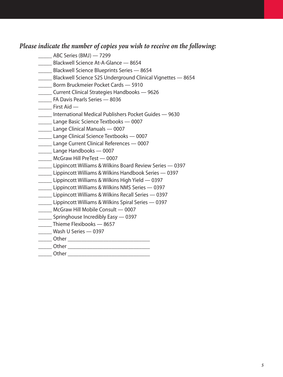### *Please indicate the number of copies you wish to receive on the following:*

- \_\_\_\_\_ ABC Series (BMJ) 7299
- \_\_\_\_\_ Blackwell Science At-A-Glance 8654
- **\_\_\_\_\_ Blackwell Science Blueprints Series 8654**
- \_\_\_\_\_ Blackwell Science S2S Underground Clinical Vignettes 8654
- **\_\_\_\_\_** Borm Bruckmeier Pocket Cards 5910
- \_\_\_\_\_ Current Clinical Strategies Handbooks 9626
- \_\_\_\_\_ FA Davis Pearls Series 8036
- \_\_\_\_\_ First Aid —
- \_\_\_\_\_ International Medical Publishers Pocket Guides 9630
- \_\_\_\_\_ Lange Basic Science Textbooks 0007
- **Lange Clinical Manuals 0007**
- \_\_\_\_\_ Lange Clinical Science Textbooks 0007
- \_\_\_\_\_ Lange Current Clinical References 0007
- \_\_\_\_\_ Lange Handbooks 0007
- \_\_\_\_\_ McGraw Hill PreTest 0007
- \_\_\_\_\_ Lippincott Williams & Wilkins Board Review Series 0397
- \_\_\_\_\_ Lippincott Williams & Wilkins Handbook Series 0397
- \_\_\_\_\_ Lippincott Williams & Wilkins High Yield 0397
- \_\_\_\_\_ Lippincott Williams & Wilkins NMS Series 0397
- \_\_\_\_\_ Lippincott Williams & Wilkins Recall Series 0397
- \_\_\_\_\_ Lippincott Williams & Wilkins Spiral Series 0397
- \_\_\_\_\_ McGraw Hill Mobile Consult 0007
- \_\_\_\_\_ Springhouse Incredibly Easy 0397
- \_\_\_\_\_ Thieme Flexibooks 8657
- \_\_\_\_\_ Wash U Series 0397
- \_\_\_\_\_ Other \_\_\_\_\_\_\_\_\_\_\_\_\_\_\_\_\_\_\_\_\_\_\_\_\_\_\_\_\_\_
- \_\_\_\_\_ Other \_\_\_\_\_\_\_\_\_\_\_\_\_\_\_\_\_\_\_\_\_\_\_\_\_\_\_\_\_\_
- $\Box$  Other  $\Box$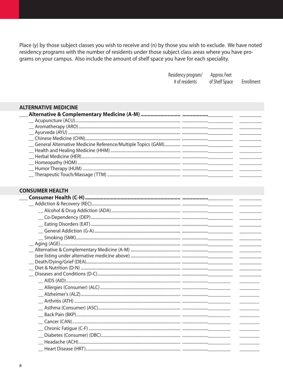Place (y) by those subject classes you wish to receive and (n) by those you wish to exclude. We have noted residency programs with the number of residents under those subject class areas where you have programs on your campus. Also include the amount of shelf space you have for each speciality.

| Residency program/ | Approx. Feet   |            |
|--------------------|----------------|------------|
| # of residents     | of Shelf Space | Enrollment |

#### **ALTERNATIVE MEDICINE** \_\_Alternative & Complementary Medicine (A-M) ………………………… ………………\_\_\_\_\_\_\_\_\_\_\_\_

#### **CONSUMER HEALTH**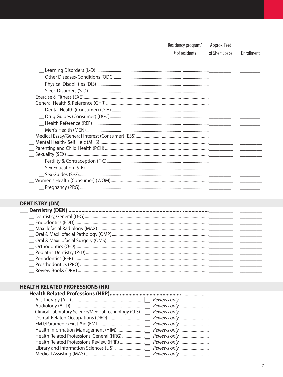Residency program/ Approx. Feet

# of residents

of Shelf Space Enrollment

| $\begin{tabular}{ll} \textbf{\textcolor{blue}{\textbf{--}}\textcolor{blue}{\textbf{--}}\textbf{Health Reference (REF)}\textcolor{blue}{\textbf{.}}\textbf{\textcolor{blue}{\textbf{.}}\textbf{\textcolor{blue}{\textbf{.}}\textbf{\textcolor{blue}{\textbf{.}}\textbf{\textcolor{blue}{\textbf{.}}\textbf{\textcolor{blue}{\textbf{.}}\textbf{\textcolor{blue}{\textbf{.}}\textbf{\textcolor{blue}{\textbf{.}}\textbf{\textcolor{blue}{\textbf{.}}\textbf{\textcolor{blue}{\textbf{.}}\textbf{\textcolor{blue}{\textbf{.}}\textbf{\textcolor{blue}{\textbf{.$ |  |
|---------------------------------------------------------------------------------------------------------------------------------------------------------------------------------------------------------------------------------------------------------------------------------------------------------------------------------------------------------------------------------------------------------------------------------------------------------------------------------------------------------------------------------------------------------------|--|
|                                                                                                                                                                                                                                                                                                                                                                                                                                                                                                                                                               |  |
|                                                                                                                                                                                                                                                                                                                                                                                                                                                                                                                                                               |  |
|                                                                                                                                                                                                                                                                                                                                                                                                                                                                                                                                                               |  |
|                                                                                                                                                                                                                                                                                                                                                                                                                                                                                                                                                               |  |
|                                                                                                                                                                                                                                                                                                                                                                                                                                                                                                                                                               |  |
|                                                                                                                                                                                                                                                                                                                                                                                                                                                                                                                                                               |  |
|                                                                                                                                                                                                                                                                                                                                                                                                                                                                                                                                                               |  |
|                                                                                                                                                                                                                                                                                                                                                                                                                                                                                                                                                               |  |
|                                                                                                                                                                                                                                                                                                                                                                                                                                                                                                                                                               |  |
|                                                                                                                                                                                                                                                                                                                                                                                                                                                                                                                                                               |  |
|                                                                                                                                                                                                                                                                                                                                                                                                                                                                                                                                                               |  |

### **DENTISTRY (DN)**

 $\overline{\phantom{a}}$ 

## **HEALTH RELATED PROFESSIONS (HR)**

| Reviews only ____________ _________ |
|-------------------------------------|
|                                     |
| Reviews only ___________ __________ |
|                                     |
|                                     |
|                                     |
|                                     |
|                                     |
|                                     |
|                                     |
|                                     |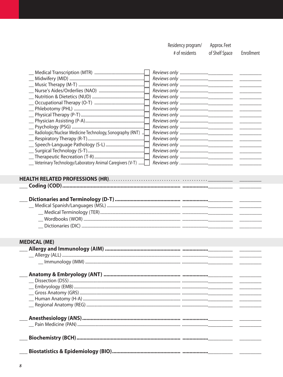Residency program/ Approx. Feet

# of residents

of Shelf Space

Enrollment

|                                                             | $\frac{1}{2}$ and $\frac{1}{2}$ and $\frac{1}{2}$ and $\frac{1}{2}$                                     |
|-------------------------------------------------------------|---------------------------------------------------------------------------------------------------------|
|                                                             | <u>and the state</u>                                                                                    |
|                                                             |                                                                                                         |
|                                                             | <u> Alexandria de la c</u>                                                                              |
|                                                             |                                                                                                         |
|                                                             |                                                                                                         |
|                                                             |                                                                                                         |
|                                                             |                                                                                                         |
|                                                             |                                                                                                         |
|                                                             | $\frac{1}{2}$ and $\frac{1}{2}$ and $\frac{1}{2}$ and $\frac{1}{2}$ and $\frac{1}{2}$ and $\frac{1}{2}$ |
| __ Radiologic/Nuclear Medicine Technology, Sonography (RNT) | <u> Alexandria de la c</u>                                                                              |
|                                                             |                                                                                                         |
|                                                             |                                                                                                         |
|                                                             |                                                                                                         |
|                                                             |                                                                                                         |
| _Veterinary Technology/Laboratory Animal Caregivers (V-T)   |                                                                                                         |
|                                                             |                                                                                                         |
|                                                             |                                                                                                         |
|                                                             |                                                                                                         |
|                                                             |                                                                                                         |
|                                                             |                                                                                                         |
|                                                             |                                                                                                         |
|                                                             |                                                                                                         |
|                                                             |                                                                                                         |
|                                                             |                                                                                                         |
|                                                             |                                                                                                         |
|                                                             |                                                                                                         |
|                                                             |                                                                                                         |
| <b>MEDICAL (ME)</b>                                         |                                                                                                         |
|                                                             |                                                                                                         |
|                                                             |                                                                                                         |
|                                                             |                                                                                                         |
|                                                             |                                                                                                         |
|                                                             |                                                                                                         |
|                                                             |                                                                                                         |
|                                                             |                                                                                                         |
|                                                             |                                                                                                         |
|                                                             |                                                                                                         |
|                                                             |                                                                                                         |
|                                                             |                                                                                                         |
|                                                             |                                                                                                         |
|                                                             |                                                                                                         |
|                                                             |                                                                                                         |
|                                                             |                                                                                                         |
|                                                             |                                                                                                         |
|                                                             |                                                                                                         |
|                                                             |                                                                                                         |
|                                                             |                                                                                                         |
|                                                             |                                                                                                         |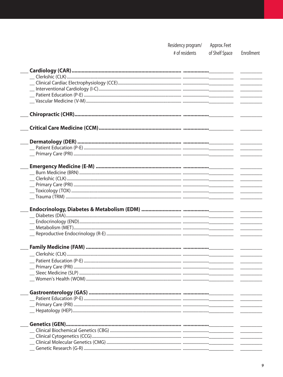| Residency program/ | Approx. Feet   |    |
|--------------------|----------------|----|
| # of residents     | of Shelf Space | Eı |

|  | # of residents |  |
|--|----------------|--|
|  |                |  |

Enrollment

| Endocrinology, Diabetes & Metabolism (EDM) ………………………… ………………____________ |  |
|--------------------------------------------------------------------------|--|
|                                                                          |  |
|                                                                          |  |
|                                                                          |  |
|                                                                          |  |
|                                                                          |  |
|                                                                          |  |
|                                                                          |  |
|                                                                          |  |
|                                                                          |  |
|                                                                          |  |
|                                                                          |  |
|                                                                          |  |
|                                                                          |  |
|                                                                          |  |
|                                                                          |  |
|                                                                          |  |
|                                                                          |  |
|                                                                          |  |
|                                                                          |  |
|                                                                          |  |
|                                                                          |  |
|                                                                          |  |
|                                                                          |  |
|                                                                          |  |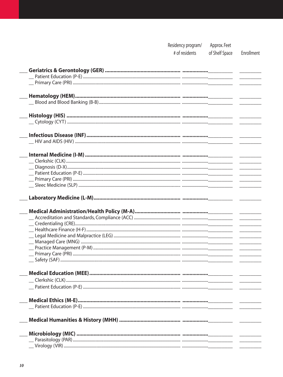|                          | Residency program/<br># of residents | Approx. Feet<br>of Shelf Space | Enrollment |
|--------------------------|--------------------------------------|--------------------------------|------------|
|                          |                                      |                                |            |
|                          |                                      |                                |            |
|                          |                                      |                                |            |
|                          |                                      |                                |            |
|                          |                                      |                                |            |
|                          |                                      |                                |            |
|                          |                                      |                                |            |
|                          |                                      |                                |            |
|                          |                                      |                                |            |
|                          |                                      |                                |            |
|                          |                                      |                                |            |
|                          |                                      |                                |            |
|                          |                                      |                                |            |
|                          |                                      |                                |            |
|                          |                                      |                                |            |
|                          |                                      |                                |            |
|                          |                                      |                                |            |
|                          |                                      |                                |            |
|                          |                                      |                                |            |
|                          |                                      |                                |            |
|                          |                                      |                                |            |
|                          |                                      |                                |            |
|                          |                                      |                                |            |
|                          |                                      |                                |            |
|                          |                                      |                                |            |
|                          |                                      |                                |            |
|                          |                                      |                                |            |
| Medical Education (MEE). |                                      |                                |            |
|                          |                                      |                                |            |
|                          |                                      |                                |            |
|                          |                                      |                                |            |
|                          |                                      |                                |            |
|                          |                                      |                                |            |
|                          |                                      |                                |            |
|                          |                                      |                                |            |
|                          |                                      |                                |            |
|                          |                                      |                                |            |
|                          |                                      |                                |            |
|                          |                                      |                                |            |
|                          |                                      |                                |            |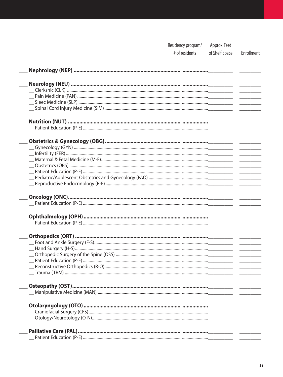| Residency program/ | Approx. Feet   |            |
|--------------------|----------------|------------|
| # of residents     | of Shelf Space | Enrollment |

| Nutrition (NUT) ……………………………………………………………………………… <u>……</u> | $\sim$ $\sim$ $\sim$ $\sim$ $\sim$<br>$\frac{1}{2} \left( \frac{1}{2} \right) \left( \frac{1}{2} \right) \left( \frac{1}{2} \right) \left( \frac{1}{2} \right) \left( \frac{1}{2} \right) \left( \frac{1}{2} \right) \left( \frac{1}{2} \right) \left( \frac{1}{2} \right) \left( \frac{1}{2} \right) \left( \frac{1}{2} \right) \left( \frac{1}{2} \right) \left( \frac{1}{2} \right) \left( \frac{1}{2} \right) \left( \frac{1}{2} \right) \left( \frac{1}{2} \right) \left( \frac{1}{2} \right) \left( \frac$<br>$\frac{1}{2} \left( \frac{1}{2} \right) \left( \frac{1}{2} \right) \left( \frac{1}{2} \right) \left( \frac{1}{2} \right) \left( \frac{1}{2} \right) \left( \frac{1}{2} \right) \left( \frac{1}{2} \right) \left( \frac{1}{2} \right) \left( \frac{1}{2} \right) \left( \frac{1}{2} \right) \left( \frac{1}{2} \right) \left( \frac{1}{2} \right) \left( \frac{1}{2} \right) \left( \frac{1}{2} \right) \left( \frac{1}{2} \right) \left( \frac{1}{2} \right) \left( \frac$<br>$\overline{a}$ and $\overline{a}$ are $\overline{a}$ and $\overline{a}$ and $\overline{a}$ |
|----------------------------------------------------------|----------------------------------------------------------------------------------------------------------------------------------------------------------------------------------------------------------------------------------------------------------------------------------------------------------------------------------------------------------------------------------------------------------------------------------------------------------------------------------------------------------------------------------------------------------------------------------------------------------------------------------------------------------------------------------------------------------------------------------------------------------------------------------------------------------------------------------------------------------------------------------------------------------------------------------------------------------------------------------------------------------------------------------------------------------------------------------------------|
|                                                          |                                                                                                                                                                                                                                                                                                                                                                                                                                                                                                                                                                                                                                                                                                                                                                                                                                                                                                                                                                                                                                                                                              |
|                                                          |                                                                                                                                                                                                                                                                                                                                                                                                                                                                                                                                                                                                                                                                                                                                                                                                                                                                                                                                                                                                                                                                                              |
|                                                          |                                                                                                                                                                                                                                                                                                                                                                                                                                                                                                                                                                                                                                                                                                                                                                                                                                                                                                                                                                                                                                                                                              |
|                                                          |                                                                                                                                                                                                                                                                                                                                                                                                                                                                                                                                                                                                                                                                                                                                                                                                                                                                                                                                                                                                                                                                                              |
|                                                          |                                                                                                                                                                                                                                                                                                                                                                                                                                                                                                                                                                                                                                                                                                                                                                                                                                                                                                                                                                                                                                                                                              |
|                                                          |                                                                                                                                                                                                                                                                                                                                                                                                                                                                                                                                                                                                                                                                                                                                                                                                                                                                                                                                                                                                                                                                                              |
|                                                          |                                                                                                                                                                                                                                                                                                                                                                                                                                                                                                                                                                                                                                                                                                                                                                                                                                                                                                                                                                                                                                                                                              |
|                                                          |                                                                                                                                                                                                                                                                                                                                                                                                                                                                                                                                                                                                                                                                                                                                                                                                                                                                                                                                                                                                                                                                                              |
|                                                          |                                                                                                                                                                                                                                                                                                                                                                                                                                                                                                                                                                                                                                                                                                                                                                                                                                                                                                                                                                                                                                                                                              |
|                                                          |                                                                                                                                                                                                                                                                                                                                                                                                                                                                                                                                                                                                                                                                                                                                                                                                                                                                                                                                                                                                                                                                                              |
|                                                          |                                                                                                                                                                                                                                                                                                                                                                                                                                                                                                                                                                                                                                                                                                                                                                                                                                                                                                                                                                                                                                                                                              |
|                                                          | $\overline{\phantom{a}}$                                                                                                                                                                                                                                                                                                                                                                                                                                                                                                                                                                                                                                                                                                                                                                                                                                                                                                                                                                                                                                                                     |
|                                                          | $\frac{1}{2} \left( \frac{1}{2} \right) \left( \frac{1}{2} \right) \left( \frac{1}{2} \right) \left( \frac{1}{2} \right) \left( \frac{1}{2} \right) \left( \frac{1}{2} \right) \left( \frac{1}{2} \right) \left( \frac{1}{2} \right) \left( \frac{1}{2} \right) \left( \frac{1}{2} \right) \left( \frac{1}{2} \right) \left( \frac{1}{2} \right) \left( \frac{1}{2} \right) \left( \frac{1}{2} \right) \left( \frac{1}{2} \right) \left( \frac{1}{2} \right) \left( \frac$                                                                                                                                                                                                                                                                                                                                                                                                                                                                                                                                                                                                                   |
|                                                          | $\frac{1}{2} \left( \frac{1}{2} \right) \left( \frac{1}{2} \right) \left( \frac{1}{2} \right) \left( \frac{1}{2} \right) \left( \frac{1}{2} \right) \left( \frac{1}{2} \right) \left( \frac{1}{2} \right) \left( \frac{1}{2} \right) \left( \frac{1}{2} \right) \left( \frac{1}{2} \right) \left( \frac{1}{2} \right) \left( \frac{1}{2} \right) \left( \frac{1}{2} \right) \left( \frac{1}{2} \right) \left( \frac{1}{2} \right) \left( \frac{1}{2} \right) \left( \frac$                                                                                                                                                                                                                                                                                                                                                                                                                                                                                                                                                                                                                   |
|                                                          | $\overline{\phantom{a}}$                                                                                                                                                                                                                                                                                                                                                                                                                                                                                                                                                                                                                                                                                                                                                                                                                                                                                                                                                                                                                                                                     |
|                                                          |                                                                                                                                                                                                                                                                                                                                                                                                                                                                                                                                                                                                                                                                                                                                                                                                                                                                                                                                                                                                                                                                                              |
|                                                          |                                                                                                                                                                                                                                                                                                                                                                                                                                                                                                                                                                                                                                                                                                                                                                                                                                                                                                                                                                                                                                                                                              |
|                                                          |                                                                                                                                                                                                                                                                                                                                                                                                                                                                                                                                                                                                                                                                                                                                                                                                                                                                                                                                                                                                                                                                                              |
|                                                          |                                                                                                                                                                                                                                                                                                                                                                                                                                                                                                                                                                                                                                                                                                                                                                                                                                                                                                                                                                                                                                                                                              |
|                                                          |                                                                                                                                                                                                                                                                                                                                                                                                                                                                                                                                                                                                                                                                                                                                                                                                                                                                                                                                                                                                                                                                                              |
|                                                          |                                                                                                                                                                                                                                                                                                                                                                                                                                                                                                                                                                                                                                                                                                                                                                                                                                                                                                                                                                                                                                                                                              |
|                                                          |                                                                                                                                                                                                                                                                                                                                                                                                                                                                                                                                                                                                                                                                                                                                                                                                                                                                                                                                                                                                                                                                                              |
|                                                          |                                                                                                                                                                                                                                                                                                                                                                                                                                                                                                                                                                                                                                                                                                                                                                                                                                                                                                                                                                                                                                                                                              |
|                                                          |                                                                                                                                                                                                                                                                                                                                                                                                                                                                                                                                                                                                                                                                                                                                                                                                                                                                                                                                                                                                                                                                                              |
|                                                          |                                                                                                                                                                                                                                                                                                                                                                                                                                                                                                                                                                                                                                                                                                                                                                                                                                                                                                                                                                                                                                                                                              |
|                                                          |                                                                                                                                                                                                                                                                                                                                                                                                                                                                                                                                                                                                                                                                                                                                                                                                                                                                                                                                                                                                                                                                                              |
|                                                          | $\overline{\phantom{a}}$                                                                                                                                                                                                                                                                                                                                                                                                                                                                                                                                                                                                                                                                                                                                                                                                                                                                                                                                                                                                                                                                     |
|                                                          | $\overline{\phantom{a}}$                                                                                                                                                                                                                                                                                                                                                                                                                                                                                                                                                                                                                                                                                                                                                                                                                                                                                                                                                                                                                                                                     |
|                                                          | $\overline{\phantom{a}}$                                                                                                                                                                                                                                                                                                                                                                                                                                                                                                                                                                                                                                                                                                                                                                                                                                                                                                                                                                                                                                                                     |
|                                                          | <u>and the state</u>                                                                                                                                                                                                                                                                                                                                                                                                                                                                                                                                                                                                                                                                                                                                                                                                                                                                                                                                                                                                                                                                         |
|                                                          |                                                                                                                                                                                                                                                                                                                                                                                                                                                                                                                                                                                                                                                                                                                                                                                                                                                                                                                                                                                                                                                                                              |
|                                                          |                                                                                                                                                                                                                                                                                                                                                                                                                                                                                                                                                                                                                                                                                                                                                                                                                                                                                                                                                                                                                                                                                              |
|                                                          |                                                                                                                                                                                                                                                                                                                                                                                                                                                                                                                                                                                                                                                                                                                                                                                                                                                                                                                                                                                                                                                                                              |
|                                                          |                                                                                                                                                                                                                                                                                                                                                                                                                                                                                                                                                                                                                                                                                                                                                                                                                                                                                                                                                                                                                                                                                              |
|                                                          |                                                                                                                                                                                                                                                                                                                                                                                                                                                                                                                                                                                                                                                                                                                                                                                                                                                                                                                                                                                                                                                                                              |
|                                                          |                                                                                                                                                                                                                                                                                                                                                                                                                                                                                                                                                                                                                                                                                                                                                                                                                                                                                                                                                                                                                                                                                              |
|                                                          |                                                                                                                                                                                                                                                                                                                                                                                                                                                                                                                                                                                                                                                                                                                                                                                                                                                                                                                                                                                                                                                                                              |
|                                                          |                                                                                                                                                                                                                                                                                                                                                                                                                                                                                                                                                                                                                                                                                                                                                                                                                                                                                                                                                                                                                                                                                              |
|                                                          |                                                                                                                                                                                                                                                                                                                                                                                                                                                                                                                                                                                                                                                                                                                                                                                                                                                                                                                                                                                                                                                                                              |
|                                                          |                                                                                                                                                                                                                                                                                                                                                                                                                                                                                                                                                                                                                                                                                                                                                                                                                                                                                                                                                                                                                                                                                              |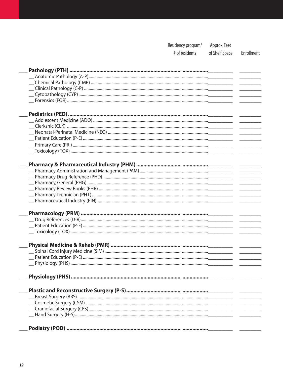Residency program/ Approx. Feet of Shelf Space

# of residents

Enrollment

| $\frac{1}{2} \left( \frac{1}{2} \right) \left( \frac{1}{2} \right) \left( \frac{1}{2} \right) \left( \frac{1}{2} \right) \left( \frac{1}{2} \right) \left( \frac{1}{2} \right) \left( \frac{1}{2} \right) \left( \frac{1}{2} \right) \left( \frac{1}{2} \right) \left( \frac{1}{2} \right) \left( \frac{1}{2} \right) \left( \frac{1}{2} \right) \left( \frac{1}{2} \right) \left( \frac{1}{2} \right) \left( \frac{1}{2} \right) \left( \frac{1}{2} \right) \left( \frac$                                                                             |
|--------------------------------------------------------------------------------------------------------------------------------------------------------------------------------------------------------------------------------------------------------------------------------------------------------------------------------------------------------------------------------------------------------------------------------------------------------------------------------------------------------------------------------------------------------|
|                                                                                                                                                                                                                                                                                                                                                                                                                                                                                                                                                        |
|                                                                                                                                                                                                                                                                                                                                                                                                                                                                                                                                                        |
|                                                                                                                                                                                                                                                                                                                                                                                                                                                                                                                                                        |
|                                                                                                                                                                                                                                                                                                                                                                                                                                                                                                                                                        |
| $\overline{\phantom{a}}$                                                                                                                                                                                                                                                                                                                                                                                                                                                                                                                               |
|                                                                                                                                                                                                                                                                                                                                                                                                                                                                                                                                                        |
|                                                                                                                                                                                                                                                                                                                                                                                                                                                                                                                                                        |
| $\begin{array}{c} \begin{array}{c} \begin{array}{c} \begin{array}{c} \end{array} \\ \end{array} \end{array} \end{array} \end{array} \end{array} \begin{array}{c} \begin{array}{c} \begin{array}{c} \end{array} \\ \end{array} \end{array} \end{array} \begin{array}{c} \begin{array}{c} \begin{array}{c} \end{array} \\ \end{array} \end{array} \end{array} \begin{array}{c} \begin{array}{c} \end{array} \end{array} \end{array} \begin{array}{c} \begin{array}{c} \end{array} \end{array} \end{array} \begin{array}{c} \begin{array}{c} \end{array}$ |
|                                                                                                                                                                                                                                                                                                                                                                                                                                                                                                                                                        |
|                                                                                                                                                                                                                                                                                                                                                                                                                                                                                                                                                        |
|                                                                                                                                                                                                                                                                                                                                                                                                                                                                                                                                                        |
|                                                                                                                                                                                                                                                                                                                                                                                                                                                                                                                                                        |
|                                                                                                                                                                                                                                                                                                                                                                                                                                                                                                                                                        |
|                                                                                                                                                                                                                                                                                                                                                                                                                                                                                                                                                        |
|                                                                                                                                                                                                                                                                                                                                                                                                                                                                                                                                                        |
|                                                                                                                                                                                                                                                                                                                                                                                                                                                                                                                                                        |
|                                                                                                                                                                                                                                                                                                                                                                                                                                                                                                                                                        |
|                                                                                                                                                                                                                                                                                                                                                                                                                                                                                                                                                        |
|                                                                                                                                                                                                                                                                                                                                                                                                                                                                                                                                                        |
|                                                                                                                                                                                                                                                                                                                                                                                                                                                                                                                                                        |
|                                                                                                                                                                                                                                                                                                                                                                                                                                                                                                                                                        |
|                                                                                                                                                                                                                                                                                                                                                                                                                                                                                                                                                        |
|                                                                                                                                                                                                                                                                                                                                                                                                                                                                                                                                                        |
|                                                                                                                                                                                                                                                                                                                                                                                                                                                                                                                                                        |
|                                                                                                                                                                                                                                                                                                                                                                                                                                                                                                                                                        |
|                                                                                                                                                                                                                                                                                                                                                                                                                                                                                                                                                        |
|                                                                                                                                                                                                                                                                                                                                                                                                                                                                                                                                                        |
|                                                                                                                                                                                                                                                                                                                                                                                                                                                                                                                                                        |
|                                                                                                                                                                                                                                                                                                                                                                                                                                                                                                                                                        |
|                                                                                                                                                                                                                                                                                                                                                                                                                                                                                                                                                        |
|                                                                                                                                                                                                                                                                                                                                                                                                                                                                                                                                                        |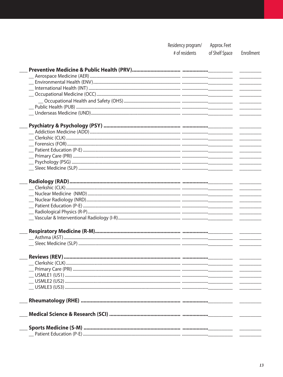Residency program/ Approx. Feet

# of residents

of Shelf Space Enrollment

| $\overline{\phantom{a}}$                                                                                                                                                                                                                                                                                                                                                                                                                                                   |  |
|----------------------------------------------------------------------------------------------------------------------------------------------------------------------------------------------------------------------------------------------------------------------------------------------------------------------------------------------------------------------------------------------------------------------------------------------------------------------------|--|
| $\overline{\phantom{a}}$                                                                                                                                                                                                                                                                                                                                                                                                                                                   |  |
|                                                                                                                                                                                                                                                                                                                                                                                                                                                                            |  |
|                                                                                                                                                                                                                                                                                                                                                                                                                                                                            |  |
|                                                                                                                                                                                                                                                                                                                                                                                                                                                                            |  |
|                                                                                                                                                                                                                                                                                                                                                                                                                                                                            |  |
|                                                                                                                                                                                                                                                                                                                                                                                                                                                                            |  |
| $\frac{1}{2} \left( \frac{1}{2} \right) \left( \frac{1}{2} \right) \left( \frac{1}{2} \right) \left( \frac{1}{2} \right) \left( \frac{1}{2} \right) \left( \frac{1}{2} \right) \left( \frac{1}{2} \right) \left( \frac{1}{2} \right) \left( \frac{1}{2} \right) \left( \frac{1}{2} \right) \left( \frac{1}{2} \right) \left( \frac{1}{2} \right) \left( \frac{1}{2} \right) \left( \frac{1}{2} \right) \left( \frac{1}{2} \right) \left( \frac{1}{2} \right) \left( \frac$ |  |
| $\overline{\phantom{a}}$                                                                                                                                                                                                                                                                                                                                                                                                                                                   |  |
| <u> De Carlos de Ca</u>                                                                                                                                                                                                                                                                                                                                                                                                                                                    |  |
| $\frac{1}{2} \left( \frac{1}{2} \right) \left( \frac{1}{2} \right) \left( \frac{1}{2} \right) \left( \frac{1}{2} \right) \left( \frac{1}{2} \right) \left( \frac{1}{2} \right) \left( \frac{1}{2} \right) \left( \frac{1}{2} \right) \left( \frac{1}{2} \right) \left( \frac{1}{2} \right) \left( \frac{1}{2} \right) \left( \frac{1}{2} \right) \left( \frac{1}{2} \right) \left( \frac{1}{2} \right) \left( \frac{1}{2} \right) \left( \frac{1}{2} \right) \left( \frac$ |  |
| $\frac{1}{1-\frac{1}{1-\frac{1}{1-\frac{1}{1-\frac{1}{1-\frac{1}{1-\frac{1}{1-\frac{1}{1-\frac{1}{1-\frac{1}{1-\frac{1}{1-\frac{1}{1-\frac{1}{1-\frac{1}{1-\frac{1}{1-\frac{1}{1-\frac{1}{1-\frac{1}{1-\frac{1}{1-\frac{1}{1-\frac{1}{1-\frac{1}{1-\frac{1}{1-\frac{1}{1-\frac{1}{1-\frac{1}{1-\frac{1}{1-\frac{1}{1-\frac{1}{1-\frac{1}{1-\frac{1}{1-\frac{1}{1-\frac{1}{1-\frac{1}{1-\frac{1}{1-\frac{1}{1-\frac{1$                                                      |  |
|                                                                                                                                                                                                                                                                                                                                                                                                                                                                            |  |
|                                                                                                                                                                                                                                                                                                                                                                                                                                                                            |  |
|                                                                                                                                                                                                                                                                                                                                                                                                                                                                            |  |
|                                                                                                                                                                                                                                                                                                                                                                                                                                                                            |  |
| $\mathcal{L}^{\text{max}}$ , where $\mathcal{L}^{\text{max}}$                                                                                                                                                                                                                                                                                                                                                                                                              |  |
| $\overline{\phantom{a}}$                                                                                                                                                                                                                                                                                                                                                                                                                                                   |  |
| <u> Alexandria de la c</u>                                                                                                                                                                                                                                                                                                                                                                                                                                                 |  |
| <u>and the state of the state</u>                                                                                                                                                                                                                                                                                                                                                                                                                                          |  |
|                                                                                                                                                                                                                                                                                                                                                                                                                                                                            |  |
|                                                                                                                                                                                                                                                                                                                                                                                                                                                                            |  |
|                                                                                                                                                                                                                                                                                                                                                                                                                                                                            |  |
|                                                                                                                                                                                                                                                                                                                                                                                                                                                                            |  |
|                                                                                                                                                                                                                                                                                                                                                                                                                                                                            |  |
|                                                                                                                                                                                                                                                                                                                                                                                                                                                                            |  |
|                                                                                                                                                                                                                                                                                                                                                                                                                                                                            |  |
|                                                                                                                                                                                                                                                                                                                                                                                                                                                                            |  |
|                                                                                                                                                                                                                                                                                                                                                                                                                                                                            |  |
|                                                                                                                                                                                                                                                                                                                                                                                                                                                                            |  |
|                                                                                                                                                                                                                                                                                                                                                                                                                                                                            |  |
|                                                                                                                                                                                                                                                                                                                                                                                                                                                                            |  |
|                                                                                                                                                                                                                                                                                                                                                                                                                                                                            |  |
|                                                                                                                                                                                                                                                                                                                                                                                                                                                                            |  |
|                                                                                                                                                                                                                                                                                                                                                                                                                                                                            |  |
|                                                                                                                                                                                                                                                                                                                                                                                                                                                                            |  |
|                                                                                                                                                                                                                                                                                                                                                                                                                                                                            |  |
|                                                                                                                                                                                                                                                                                                                                                                                                                                                                            |  |
|                                                                                                                                                                                                                                                                                                                                                                                                                                                                            |  |
|                                                                                                                                                                                                                                                                                                                                                                                                                                                                            |  |
|                                                                                                                                                                                                                                                                                                                                                                                                                                                                            |  |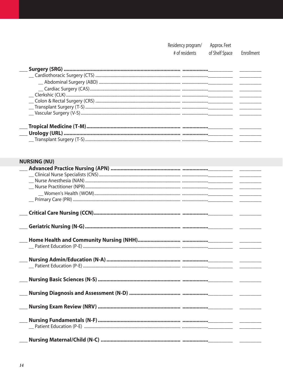| Approx. Feet |
|--------------|
|              |

# of residents of Shelf Space

Enrollment

### **NURSING (NU)**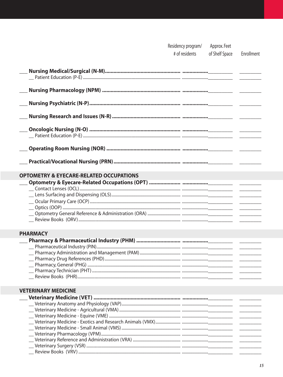| <b>OPTOMETRY &amp; EYECARE-RELATED OCCUPATIONS</b> |  |
|----------------------------------------------------|--|
|                                                    |  |
|                                                    |  |
|                                                    |  |
|                                                    |  |
|                                                    |  |
|                                                    |  |

Residency program/

# of residents

Approx. Feet

of Shelf Space

Enrollment

#### **PHARMACY**

#### **VETERINARY MEDICINE**

| Review Rooks (VRV) |  |
|--------------------|--|